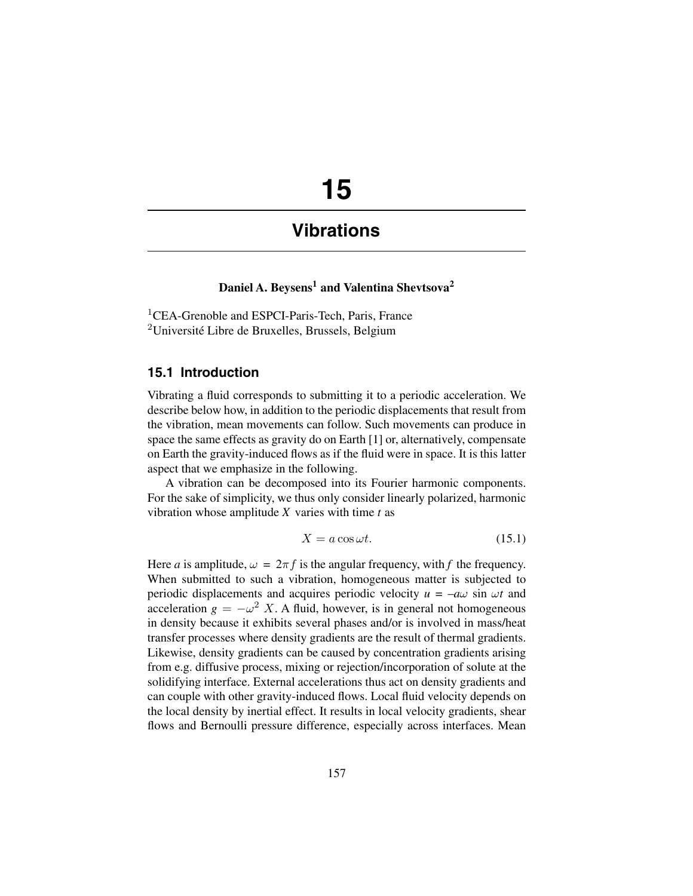# **15**

# **Vibrations**

# Daniel A. Beysens<sup>1</sup> and Valentina Shevtsova<sup>2</sup>

<sup>1</sup>CEA-Grenoble and ESPCI-Paris-Tech, Paris, France <sup>2</sup>Université Libre de Bruxelles, Brussels, Belgium

### **15.1 Introduction**

Vibrating a fluid corresponds to submitting it to a periodic acceleration. We describe below how, in addition to the periodic displacements that result from the vibration, mean movements can follow. Such movements can produce in space the same effects as gravity do on Earth [1] or, alternatively, compensate on Earth the gravity-induced flows as if the fluid were in space. It is this latter aspect that we emphasize in the following.

A vibration can be decomposed into its Fourier harmonic components. For the sake of simplicity, we thus only consider linearly polarized, harmonic vibration whose amplitude *X* varies with time *t* as

$$
X = a\cos\omega t. \tag{15.1}
$$

Here *a* is amplitude,  $\omega = 2\pi f$  is the angular frequency, with *f* the frequency. When submitted to such a vibration, homogeneous matter is subjected to periodic displacements and acquires periodic velocity  $u = -a\omega \sin \omega t$  and acceleration  $g = -\omega^2 X$ . A fluid, however, is in general not homogeneous in density because it exhibits several phases and/or is involved in mass/heat transfer processes where density gradients are the result of thermal gradients. Likewise, density gradients can be caused by concentration gradients arising from e.g. diffusive process, mixing or rejection/incorporation of solute at the solidifying interface. External accelerations thus act on density gradients and can couple with other gravity-induced flows. Local fluid velocity depends on the local density by inertial effect. It results in local velocity gradients, shear flows and Bernoulli pressure difference, especially across interfaces. Mean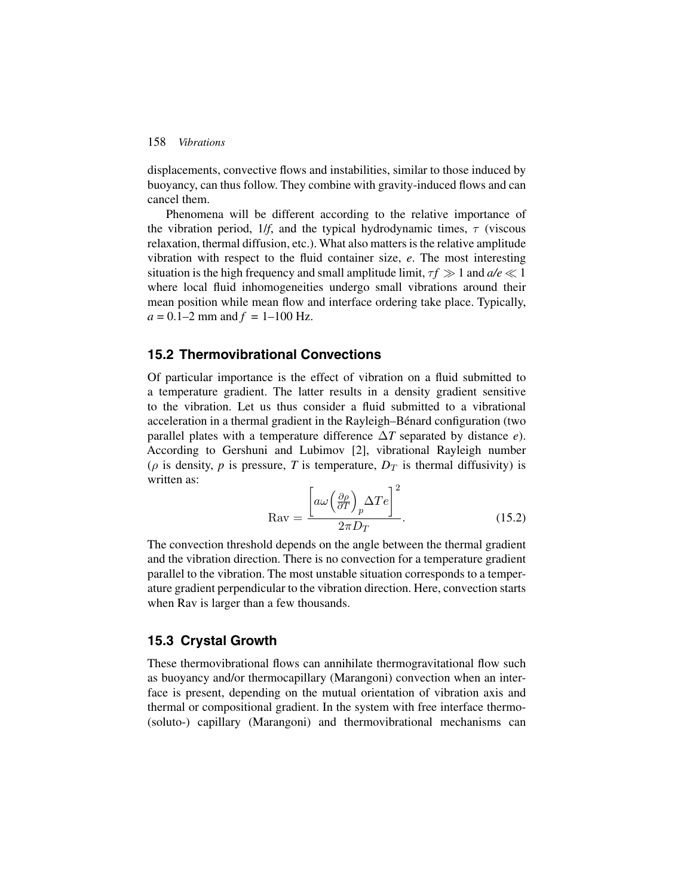#### 158 *Vibrations*

displacements, convective flows and instabilities, similar to those induced by buoyancy, can thus follow. They combine with gravity-induced flows and can cancel them.

Phenomena will be different according to the relative importance of the vibration period,  $1/f$ , and the typical hydrodynamic times,  $\tau$  (viscous relaxation, thermal diffusion, etc.). What also matters is the relative amplitude vibration with respect to the fluid container size, *e*. The most interesting situation is the high frequency and small amplitude limit,  $\tau f \gg 1$  and  $a/e \ll 1$ <br>where local fluid inhomogeneities undergo small vibrations around their where local fluid inhomogeneities undergo small vibrations around their mean position while mean flow and interface ordering take place. Typically,  $a = 0.1 - 2$  mm and  $f = 1 - 100$  Hz.

## **15.2 Thermovibrational Convections**

Of particular importance is the effect of vibration on a fluid submitted to a temperature gradient. The latter results in a density gradient sensitive to the vibration. Let us thus consider a fluid submitted to a vibrational acceleration in a thermal gradient in the Rayleigh–Bénard configuration (two parallel plates with a temperature difference Δ*T* separated by distance *e*). According to Gershuni and Lubimov [2], vibrational Rayleigh number ( $\rho$  is density,  $p$  is pressure,  $T$  is temperature,  $D_T$  is thermal diffusivity) is written as:

$$
ext{Rav} = \frac{\left[a\omega\left(\frac{\partial\rho}{\partial T}\right)_p \Delta T e\right]^2}{2\pi D_T}.
$$
 (15.2)

 $2\pi D_T$ <br>The convection threshold depends on the angle between the thermal gradient and the vibration direction. There is no convection for a temperature gradient parallel to the vibration. The most unstable situation corresponds to a temperature gradient perpendicular to the vibration direction. Here, convection starts when Rav is larger than a few thousands.

### **15.3 Crystal Growth**

These thermovibrational flows can annihilate thermogravitational flow such as buoyancy and/or thermocapillary (Marangoni) convection when an interface is present, depending on the mutual orientation of vibration axis and thermal or compositional gradient. In the system with free interface thermo- (soluto-) capillary (Marangoni) and thermovibrational mechanisms can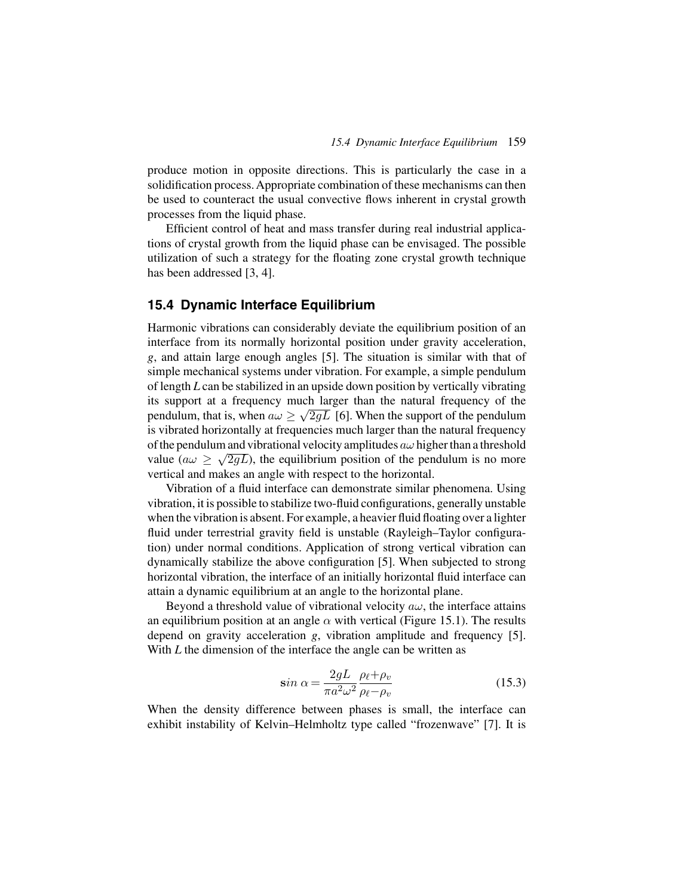produce motion in opposite directions. This is particularly the case in a solidification process. Appropriate combination of these mechanisms can then be used to counteract the usual convective flows inherent in crystal growth processes from the liquid phase.

Efficient control of heat and mass transfer during real industrial applications of crystal growth from the liquid phase can be envisaged. The possible utilization of such a strategy for the floating zone crystal growth technique has been addressed [3, 4].

#### **15.4 Dynamic Interface Equilibrium**

Harmonic vibrations can considerably deviate the equilibrium position of an interface from its normally horizontal position under gravity acceleration, *g*, and attain large enough angles [5]. The situation is similar with that of simple mechanical systems under vibration. For example, a simple pendulum of length *L* can be stabilized in an upside down position by vertically vibrating its support at a frequency much larger than the natural frequency of the pendulum, that is, when  $a\omega \geq \sqrt{2gL}$  [6]. When the support of the pendulum is vibrated horizontally at frequencies much larger than the natural frequency of the pendulum and vibrational velocity amplitudes  $a\omega$  higher than a threshold value ( $a\omega \geq \sqrt{2gL}$ ), the equilibrium position of the pendulum is no more vertical and makes an angle with respect to the horizontal.

Vibration of a fluid interface can demonstrate similar phenomena. Using vibration, it is possible to stabilize two-fluid configurations, generally unstable when the vibration is absent. For example, a heavier fluid floating over a lighter fluid under terrestrial gravity field is unstable (Rayleigh–Taylor configuration) under normal conditions. Application of strong vertical vibration can dynamically stabilize the above configuration [5]. When subjected to strong horizontal vibration, the interface of an initially horizontal fluid interface can attain a dynamic equilibrium at an angle to the horizontal plane.

Beyond a threshold value of vibrational velocity  $a\omega$ , the interface attains an equilibrium position at an angle  $\alpha$  with vertical (Figure 15.1). The results depend on gravity acceleration *g*, vibration amplitude and frequency [5]. With *L* the dimension of the interface the angle can be written as

$$
\sin \alpha = \frac{2gL}{\pi a^2 \omega^2} \frac{\rho_\ell + \rho_v}{\rho_\ell - \rho_v}
$$
(15.3)

When the density difference between phases is small, the interface can exhibit instability of Kelvin–Helmholtz type called "frozenwave" [7]. It is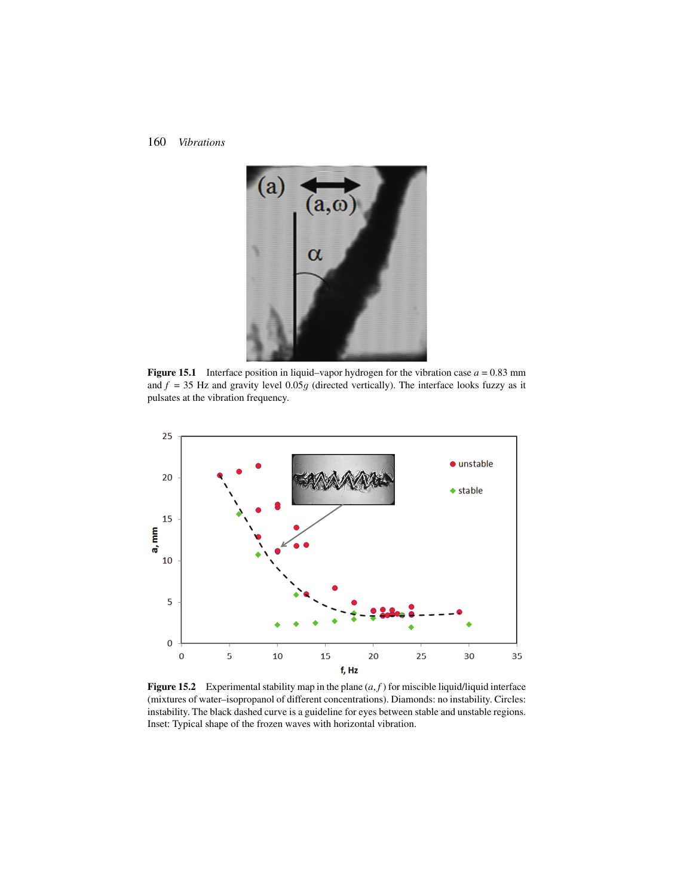#### 160 *Vibrations*



**Figure 15.1** Interface position in liquid–vapor hydrogen for the vibration case  $a = 0.83$  mm and  $f = 35$  Hz and gravity level  $0.05g$  (directed vertically). The interface looks fuzzy as it pulsates at the vibration frequency.



**Figure 15.2** Experimental stability map in the plane  $(a, f)$  for miscible liquid/liquid interface (mixtures of water–isopropanol of different concentrations). Diamonds: no instability. Circles: instability. The black dashed curve is a guideline for eyes between stable and unstable regions. Inset: Typical shape of the frozen waves with horizontal vibration.